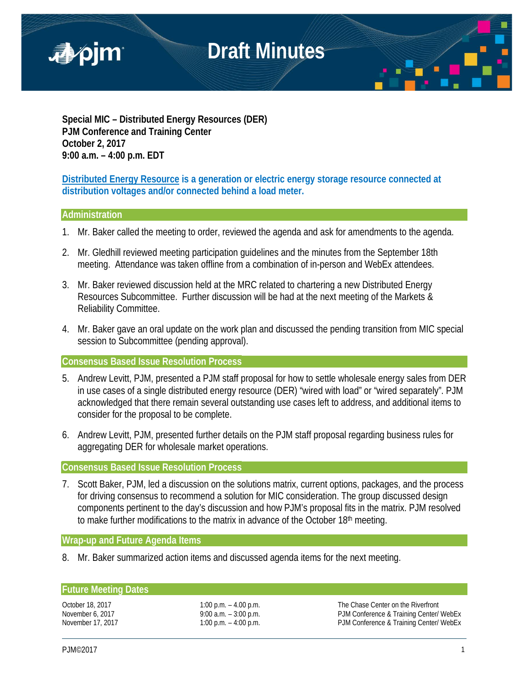

**Special MIC – Distributed Energy Resources (DER) PJM Conference and Training Center October 2, 2017 9:00 a.m. – 4:00 p.m. EDT**

**Distributed Energy Resource is a generation or electric energy storage resource connected at distribution voltages and/or connected behind a load meter.**

## **Administration**

- 1. Mr. Baker called the meeting to order, reviewed the agenda and ask for amendments to the agenda.
- 2. Mr. Gledhill reviewed meeting participation guidelines and the minutes from the September 18th meeting. Attendance was taken offline from a combination of in-person and WebEx attendees.
- 3. Mr. Baker reviewed discussion held at the MRC related to chartering a new Distributed Energy Resources Subcommittee. Further discussion will be had at the next meeting of the Markets & Reliability Committee.
- 4. Mr. Baker gave an oral update on the work plan and discussed the pending transition from MIC special session to Subcommittee (pending approval).

**Consensus Based Issue Resolution Process**

- 5. Andrew Levitt, PJM, presented a PJM staff proposal for how to settle wholesale energy sales from DER in use cases of a single distributed energy resource (DER) "wired with load" or "wired separately". PJM acknowledged that there remain several outstanding use cases left to address, and additional items to consider for the proposal to be complete.
- 6. Andrew Levitt, PJM, presented further details on the PJM staff proposal regarding business rules for aggregating DER for wholesale market operations.

## **Consensus Based Issue Resolution Process**

7. Scott Baker, PJM, led a discussion on the solutions matrix, current options, packages, and the process for driving consensus to recommend a solution for MIC consideration. The group discussed design components pertinent to the day's discussion and how PJM's proposal fits in the matrix. PJM resolved to make further modifications to the matrix in advance of the October 18<sup>th</sup> meeting.

## **Wrap-up and Future Agenda Items**

8. Mr. Baker summarized action items and discussed agenda items for the next meeting.

# **Future Meeting Dates**

October 18, 2017 1:00 p.m. – 4.00 p.m. The Chase Center on the Riverfront November 6, 2017 **9:00 a.m.** – 3:00 p.m. PJM Conference & Training Center/ WebEx November 17, 2017 **1:00 p.m. – 4:00 p.m.** PJM Conference & Training Center/ WebEx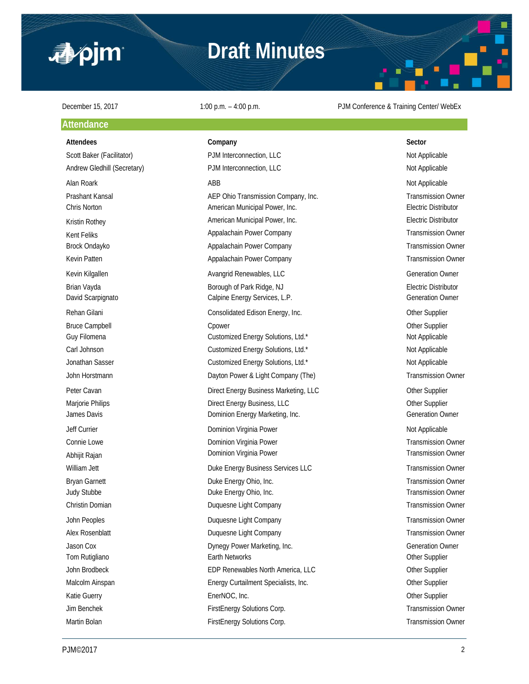

# **Draft Minutes**



### **Attendance**

### **Attendees Company Sector**

Scott Baker (Facilitator) **PJM Interconnection, LLC** Not Applicable Not Applicable Andrew Gledhill (Secretary) **PJM Interconnection, LLC** Not Applicable Not Applicable Alan Roark **ABB** Not Applicable ABB Not Applicable and ABB Not Applicable and Applicable and Applicable and Applicable and Applicable and Applicable and Applicable and Applicable and Applicable and Applicable and Applicabl Prashant Kansal **AEP Ohio Transmission Company, Inc.** Transmission Owner Chris Norton American Municipal Power, Inc. Electric Distributor Kristin Rothey **American Municipal Power, Inc.** American Municipal Power, Inc. **Electric Distributor** Kent Feliks **Appalachain Power Company Appalachain Power Company** Transmission Owner Brock Ondayko **Appalachain Power Company Transmission Owner** Transmission Owner Company Transmission Owner Kevin Patten **Appalachain Power Company Company** Transmission Owner Company **Transmission Owner** Kevin Kilgallen **Avangrid Renewables, LLC** Generation Owner Generation Owner Brian Vayda **Borough of Park Ridge, NJ** Borough of Park Ridge, NJ **Electric Distributor** David Scarpignato **Calpine Energy Services, L.P.** Calpine Energy Services, L.P. Rehan Gilani **Consolidated Edison Energy, Inc.** Consolidated Edison Energy, Inc. Bruce Campbell **Champbell** Cpower Component Component Component Component Component Component Component Component Component Component Component Component Component Component Component Component Component Component Componen Guy Filomena **Customized Energy Solutions, Ltd.\*** Not Applicable Not Applicable Carl Johnson **Customized Energy Solutions, Ltd.\*** Not Applicable Not Applicable Jonathan Sasser **Customized Energy Solutions, Ltd.\*** Not Applicable Not Applicable John Horstmann **Example 20 and Transmission Company (The)** Dayton Power & Light Company (The) Transmission Owner Peter Cavan **Direct Energy Business Marketing, LLC** Character Cavan Other Supplier Marjorie Philips **Direct Energy Business, LLC Direct Energy Business**, LLC James Davis **Dominion Energy Marketing, Inc.** Channel Commercial Commercial Commercial Commercial Commercial Commercial Commercial Commercial Commercial Commercial Commercial Commercial Commercial Commercial Commercial Com Jeff Currier **School Communist Communist Communist Communist Communist Communist Communist Communist Communist Communist Communist Communist Communist Communist Communist Communist Communist Communist Communist Communist C** Connie Lowe **Connie Lowe Dominion Virginia Power Transmission Owner Transmission Owner** Abhijit Rajan **Dominion Virginia Power Communist Communist Communist Communist Communist Communist Communist Communist Communist Communist Communist Communist Communist Communist Communist Communist Communist Communist C** William Jett **Duke Energy Business Services LLC** Transmission Owner Bryan Garnett **Example 20** Energy Ohio, Inc. Transmission Owner Judy Stubbe **Duke Energy Ohio, Inc.** Transmission Owner Christin Domian **Duquesne Light Company Christin Domian** Transmission Owner John Peoples Duquesne Light Company Transmission Owner Alex Rosenblatt **Alex Rosenblatt** Duquesne Light Company **Transmission Owner** Transmission Owner Jason Cox **Dynegy Power Marketing, Inc.** Communication Owner Generation Owner Tom Rutigliano **Earth Networks Community Community Community** Other Supplier John Brodbeck **EDP Renewables North America, LLC** Other Supplier Malcolm Ainspan **Energy Curtailment Specialists, Inc.** Cher Supplier Communication Communication Communication Communication Communication Communication Communication Communication Communication Communication Communication Katie Guerry **EnerNOC, Inc.** Communication of the Supplier Supplier Communication of the Supplier Jim Benchek FirstEnergy Solutions Corp. Transmission Owner Martin Bolan **FirstEnergy Solutions Corp.** Transmission Owner Corp. Transmission Owner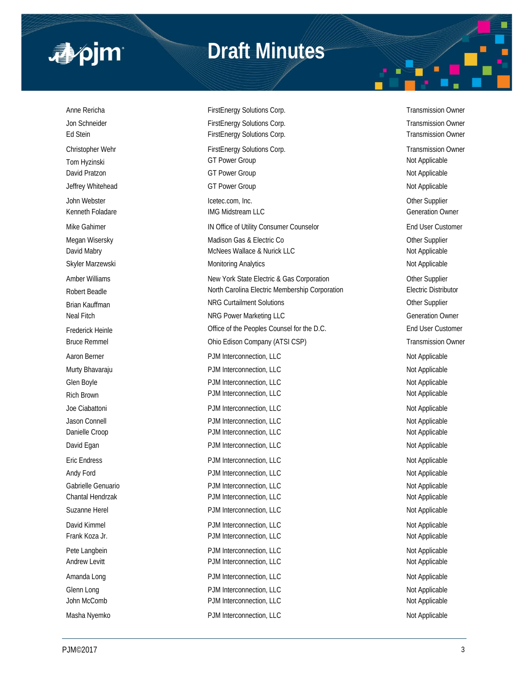

# **Draft Minutes**

Anne Rericha **FirstEnergy Solutions Corp.** Transmission Owner Corp. Transmission Owner Jon Schneider **FirstEnergy Solutions Corp.** Transmission Owner Corp. Transmission Owner Ed Stein FirstEnergy Solutions Corp. Transmission Owner FirstEnergy Solutions Corp. Christopher Wehr FirstEnergy Solutions Corp. Transmission Owner Christopher Wehr Transmission Owner Tom Hyzinski GT Power Group Not Applicable David Pratzon **Markov COVID COVID-COVID-COVID-COVID-COVID-COVID-COVID-COVID-COVID-COVID-COVID-COVID-COVID-COVID-COVID-COVID-COVID-COVID-COVID-COVID-COVID-COVID-COVID-COVID-COVID-COVID-COVID-COVID-COVID-COVID-COVID-COVID-CO** Jeffrey Whitehead **GT Power Group** GT Power Group Not Applicable John Webster Icetec.com, Inc. Other Supplier Kenneth Foladare **IMG Midstream LLC** Generation Owner Mike Gahimer **IN Office of Utility Consumer Counselor** End User Customer Counselor Megan Wisersky **Matison Gas & Electric Co Madison Gas & Electric Co Other Supplier** David Mabry **McNees Wallace & Nurick LLC** Not Applicable Not Applicable Skyler Marzewski **Monitoring Analytics** Monitoring Analytics Not Applicable Amber Williams **New York State Electric & Gas Corporation** Cher Supplier Robert Beadle **North Carolina Electric Membership Corporation** Electric Distributor Brian Kauffman Natur Collection Studies and Solutions and Solutions of the Supplier Supplier Neal Fitch **NRG Power Marketing LLC** NRG Power Marketing LLC Frederick Heinle **End User Customer Connect Act Act Counsel for the D.C.** End User Customer Bruce Remmel **Edison Company (ATSI CSP)** Transmission Owner Aaron Berner **Account 2012 12:30 PDM Interconnection, LLC** Not Applicable Not Applicable Murty Bhavaraju **Number 2018** PJM Interconnection, LLC Not Applicable Not Applicable Glen Boyle **Conserversity PJM Interconnection, LLC** Not Applicable Not Applicable Rich Brown Not Applicable PJM Interconnection, LLC Not Applicable Not Applicable Joe Ciabattoni **Not Applicable** PJM Interconnection, LLC Not Applicable Not Applicable Jason Connell **Not Applicable** PJM Interconnection, LLC **Not Applicable** Not Applicable Danielle Croop **PJM Interconnection, LLC** Not Applicable David Egan **PJM Interconnection, LLC** Not Applicable Not Applicable Eric Endress **PJM Interconnection, LLC** Not Applicable Not Applicable Andy Ford **PJM Interconnection, LLC** Andy Ford Not Applicable Gabrielle Genuario **PJM Interconnection, LLC** and the policy of the Mot Applicable Chantal Hendrzak **PJM Interconnection, LLC** Not Applicable Not Applicable Suzanne Herel **Not Applicable** PJM Interconnection, LLC **Not Applicable** Not Applicable David Kimmel **Not Applicable** PJM Interconnection, LLC **Not Applicable** Not Applicable Frank Koza Jr. **PJM Interconnection, LLC** Not Applicable Not Applicable Pete Langbein **PJM Interconnection, LLC** Not Applicable Not Applicable Andrew Levitt **Andrew Levitt** PJM Interconnection, LLC **Andrew Levitt** Not Applicable Amanda Long **PJM Interconnection, LLC** Not Applicable Not Applicable Glenn Long Not Applicable PJM Interconnection, LLC Not Applicable Not Applicable John McComb **PJM Interconnection, LLC** Not Applicable Not Applicable Masha Nyemko **PJM Interconnection, LLC** Not Applicable Not Applicable